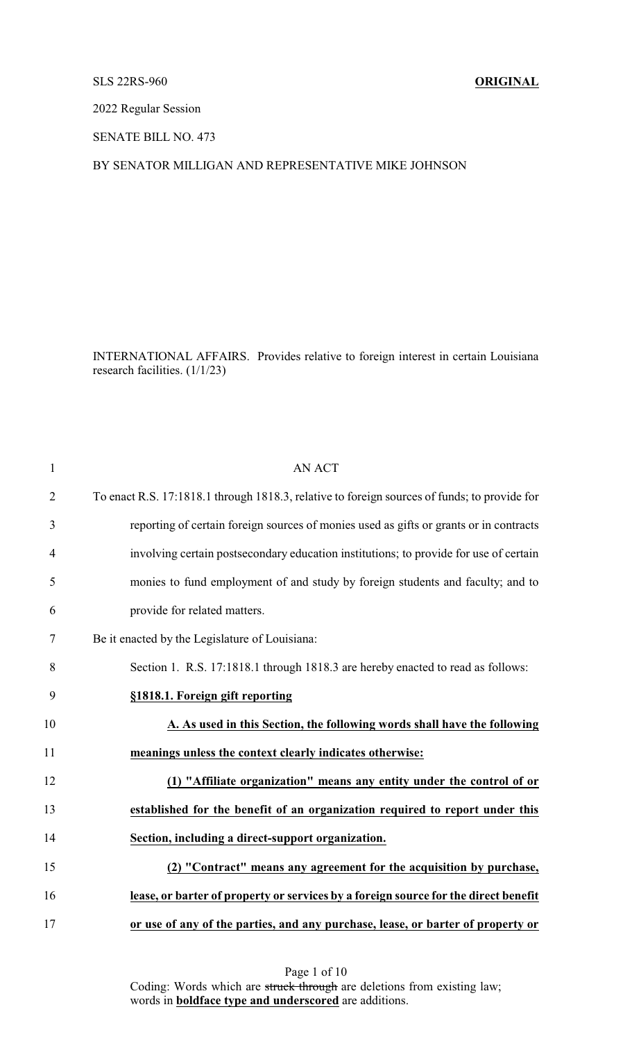## SLS 22RS-960 **ORIGINAL**

2022 Regular Session

SENATE BILL NO. 473

## BY SENATOR MILLIGAN AND REPRESENTATIVE MIKE JOHNSON

INTERNATIONAL AFFAIRS. Provides relative to foreign interest in certain Louisiana research facilities. (1/1/23)

| $\mathbf{1}$   | <b>AN ACT</b>                                                                                |
|----------------|----------------------------------------------------------------------------------------------|
| $\overline{2}$ | To enact R.S. 17:1818.1 through 1818.3, relative to foreign sources of funds; to provide for |
| 3              | reporting of certain foreign sources of monies used as gifts or grants or in contracts       |
| 4              | involving certain postsecondary education institutions; to provide for use of certain        |
| 5              | monies to fund employment of and study by foreign students and faculty; and to               |
| 6              | provide for related matters.                                                                 |
| 7              | Be it enacted by the Legislature of Louisiana:                                               |
| 8              | Section 1. R.S. 17:1818.1 through 1818.3 are hereby enacted to read as follows:              |
| 9              | §1818.1. Foreign gift reporting                                                              |
| 10             | A. As used in this Section, the following words shall have the following                     |
| 11             | meanings unless the context clearly indicates otherwise:                                     |
| 12             | (1) "Affiliate organization" means any entity under the control of or                        |
| 13             | established for the benefit of an organization required to report under this                 |
| 14             | Section, including a direct-support organization.                                            |
| 15             | (2) "Contract" means any agreement for the acquisition by purchase,                          |
| 16             | lease, or barter of property or services by a foreign source for the direct benefit          |
| 17             | or use of any of the parties, and any purchase, lease, or barter of property or              |

Page 1 of 10 Coding: Words which are struck through are deletions from existing law; words in **boldface type and underscored** are additions.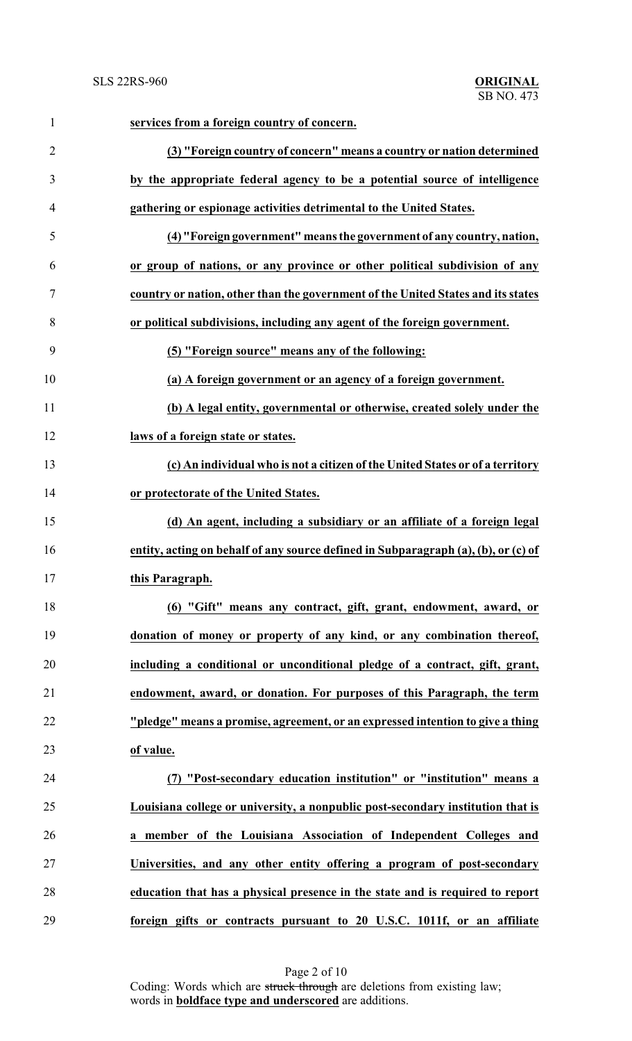| $\mathbf{1}$   | services from a foreign country of concern.                                        |
|----------------|------------------------------------------------------------------------------------|
| $\overline{2}$ | (3) "Foreign country of concern" means a country or nation determined              |
| 3              | by the appropriate federal agency to be a potential source of intelligence         |
| $\overline{4}$ | gathering or espionage activities detrimental to the United States.                |
| 5              | (4) "Foreign government" means the government of any country, nation,              |
| 6              | or group of nations, or any province or other political subdivision of any         |
| 7              | country or nation, other than the government of the United States and its states   |
| 8              | or political subdivisions, including any agent of the foreign government.          |
| 9              | (5) "Foreign source" means any of the following:                                   |
| 10             | (a) A foreign government or an agency of a foreign government.                     |
| 11             | (b) A legal entity, governmental or otherwise, created solely under the            |
| 12             | laws of a foreign state or states.                                                 |
| 13             | (c) An individual who is not a citizen of the United States or of a territory      |
| 14             | or protectorate of the United States.                                              |
| 15             | (d) An agent, including a subsidiary or an affiliate of a foreign legal            |
| 16             | entity, acting on behalf of any source defined in Subparagraph (a), (b), or (c) of |
| 17             | this Paragraph.                                                                    |
| 18             | (6) "Gift" means any contract, gift, grant, endowment, award, or                   |
| 19             | donation of money or property of any kind, or any combination thereof,             |
| 20             | including a conditional or unconditional pledge of a contract, gift, grant,        |
| 21             | endowment, award, or donation. For purposes of this Paragraph, the term            |
| 22             | "pledge" means a promise, agreement, or an expressed intention to give a thing     |
| 23             | of value.                                                                          |
| 24             | (7) "Post-secondary education institution" or "institution" means a                |
| 25             | Louisiana college or university, a nonpublic post-secondary institution that is    |
| 26             | a member of the Louisiana Association of Independent Colleges and                  |
| 27             | Universities, and any other entity offering a program of post-secondary            |
| 28             | education that has a physical presence in the state and is required to report      |
| 29             | foreign gifts or contracts pursuant to 20 U.S.C. 1011f, or an affiliate            |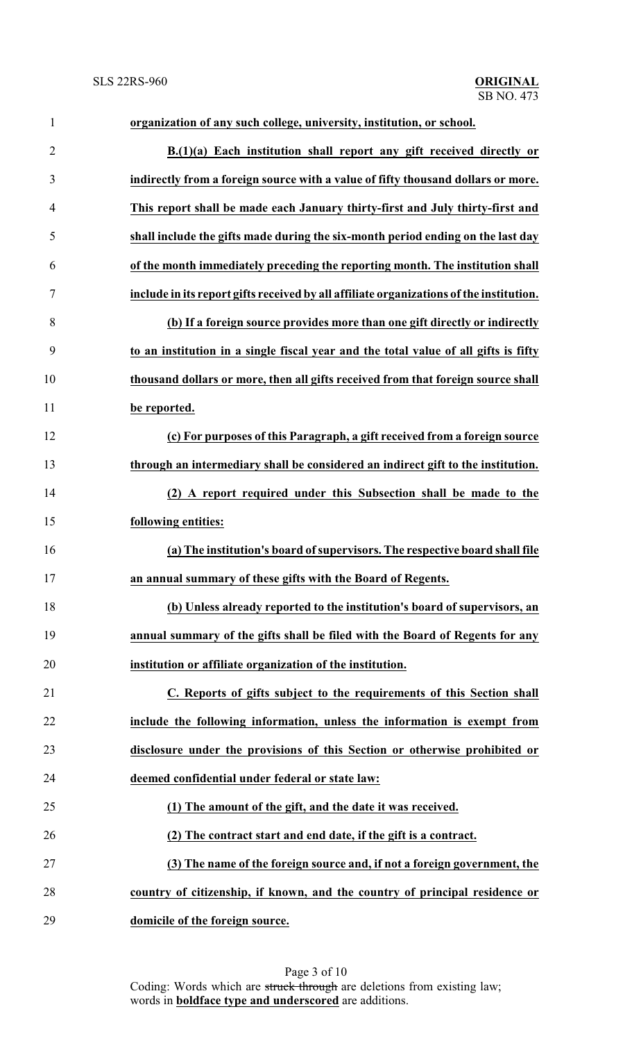| $\mathbf{1}$   | organization of any such college, university, institution, or school.                   |
|----------------|-----------------------------------------------------------------------------------------|
| $\overline{2}$ | B.(1)(a) Each institution shall report any gift received directly or                    |
| 3              | indirectly from a foreign source with a value of fifty thousand dollars or more.        |
| $\overline{4}$ | This report shall be made each January thirty-first and July thirty-first and           |
| 5              | shall include the gifts made during the six-month period ending on the last day         |
| 6              | of the month immediately preceding the reporting month. The institution shall           |
| 7              | include in its report gifts received by all affiliate organizations of the institution. |
| 8              | (b) If a foreign source provides more than one gift directly or indirectly              |
| 9              | to an institution in a single fiscal year and the total value of all gifts is fifty     |
| 10             | thousand dollars or more, then all gifts received from that foreign source shall        |
| 11             | be reported.                                                                            |
| 12             | (c) For purposes of this Paragraph, a gift received from a foreign source               |
| 13             | through an intermediary shall be considered an indirect gift to the institution.        |
| 14             | (2) A report required under this Subsection shall be made to the                        |
| 15             | following entities:                                                                     |
| 16             | (a) The institution's board of supervisors. The respective board shall file             |
| 17             | an annual summary of these gifts with the Board of Regents.                             |
| 18             | (b) Unless already reported to the institution's board of supervisors, an               |
| 19             | annual summary of the gifts shall be filed with the Board of Regents for any            |
| 20             | institution or affiliate organization of the institution.                               |
| 21             | C. Reports of gifts subject to the requirements of this Section shall                   |
| 22             | include the following information, unless the information is exempt from                |
| 23             | disclosure under the provisions of this Section or otherwise prohibited or              |
| 24             | deemed confidential under federal or state law:                                         |
| 25             | (1) The amount of the gift, and the date it was received.                               |
| 26             | (2) The contract start and end date, if the gift is a contract.                         |
| 27             | (3) The name of the foreign source and, if not a foreign government, the                |
| 28             | country of citizenship, if known, and the country of principal residence or             |
| 29             | domicile of the foreign source.                                                         |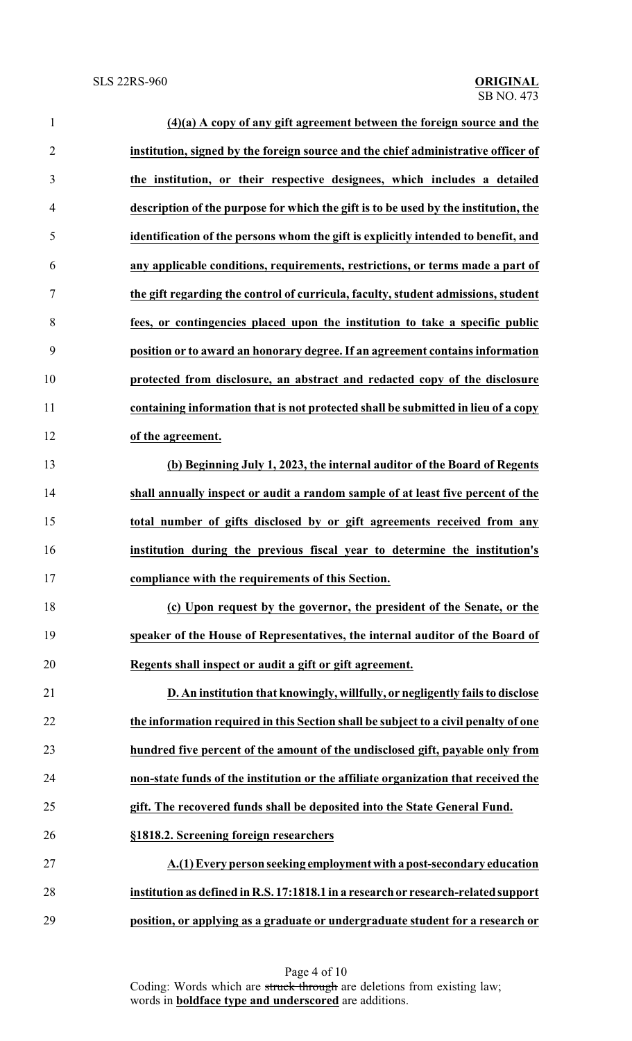| $\mathbf{1}$   | $(4)(a)$ A copy of any gift agreement between the foreign source and the            |
|----------------|-------------------------------------------------------------------------------------|
| $\overline{2}$ | institution, signed by the foreign source and the chief administrative officer of   |
| 3              | the institution, or their respective designees, which includes a detailed           |
| $\overline{4}$ | description of the purpose for which the gift is to be used by the institution, the |
| 5              | identification of the persons whom the gift is explicitly intended to benefit, and  |
| 6              | any applicable conditions, requirements, restrictions, or terms made a part of      |
| 7              | the gift regarding the control of curricula, faculty, student admissions, student   |
| 8              | fees, or contingencies placed upon the institution to take a specific public        |
| 9              | position or to award an honorary degree. If an agreement contains information       |
| 10             | protected from disclosure, an abstract and redacted copy of the disclosure          |
| 11             | containing information that is not protected shall be submitted in lieu of a copy   |
| 12             | of the agreement.                                                                   |
| 13             | (b) Beginning July 1, 2023, the internal auditor of the Board of Regents            |
| 14             | shall annually inspect or audit a random sample of at least five percent of the     |
| 15             | total number of gifts disclosed by or gift agreements received from any             |
| 16             | institution during the previous fiscal year to determine the institution's          |
| 17             | compliance with the requirements of this Section.                                   |
| 18             | (c) Upon request by the governor, the president of the Senate, or the               |
| 19             | speaker of the House of Representatives, the internal auditor of the Board of       |
| 20             | Regents shall inspect or audit a gift or gift agreement.                            |
| 21             | D. An institution that knowingly, willfully, or negligently fails to disclose       |
| 22             | the information required in this Section shall be subject to a civil penalty of one |
| 23             | hundred five percent of the amount of the undisclosed gift, payable only from       |
| 24             | non-state funds of the institution or the affiliate organization that received the  |
| 25             | gift. The recovered funds shall be deposited into the State General Fund.           |
| 26             | §1818.2. Screening foreign researchers                                              |
| 27             | A.(1) Every person seeking employment with a post-secondary education               |
| 28             | institution as defined in R.S. 17:1818.1 in a research or research-related support  |
| 29             | position, or applying as a graduate or undergraduate student for a research or      |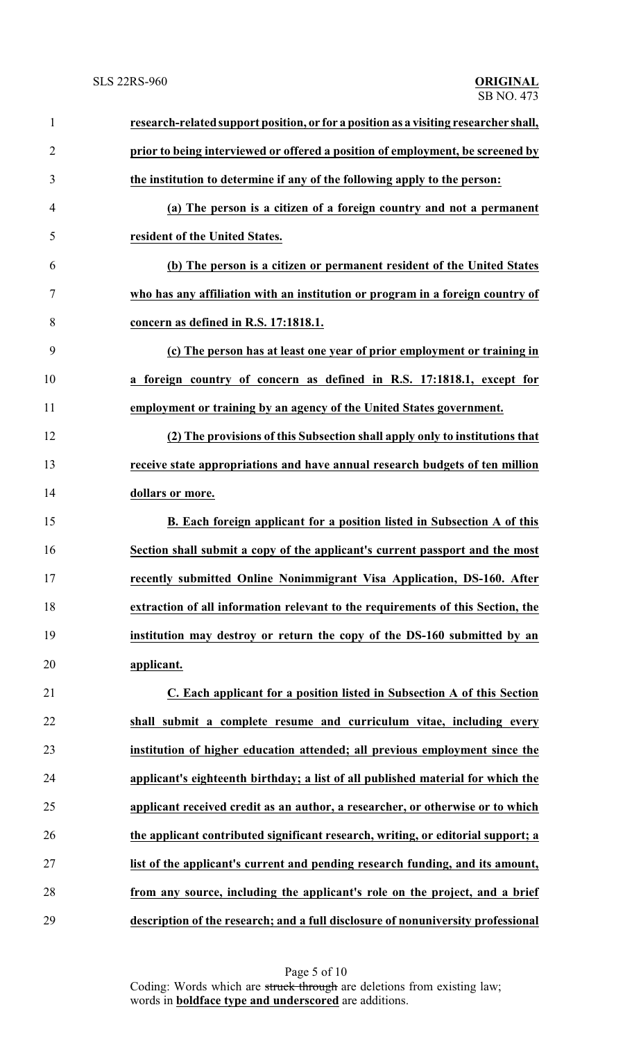| $\mathbf{1}$   | research-related support position, or for a position as a visiting researcher shall, |
|----------------|--------------------------------------------------------------------------------------|
| $\overline{2}$ | prior to being interviewed or offered a position of employment, be screened by       |
| 3              | the institution to determine if any of the following apply to the person:            |
| $\overline{4}$ | (a) The person is a citizen of a foreign country and not a permanent                 |
| 5              | resident of the United States.                                                       |
| 6              | (b) The person is a citizen or permanent resident of the United States               |
| 7              | who has any affiliation with an institution or program in a foreign country of       |
| 8              | concern as defined in R.S. 17:1818.1.                                                |
| 9              | (c) The person has at least one year of prior employment or training in              |
| 10             | a foreign country of concern as defined in R.S. 17:1818.1, except for                |
| 11             | employment or training by an agency of the United States government.                 |
| 12             | (2) The provisions of this Subsection shall apply only to institutions that          |
| 13             | receive state appropriations and have annual research budgets of ten million         |
| 14             | dollars or more.                                                                     |
| 15             | B. Each foreign applicant for a position listed in Subsection A of this              |
| 16             | Section shall submit a copy of the applicant's current passport and the most         |
| 17             | recently submitted Online Nonimmigrant Visa Application, DS-160. After               |
| 18             | extraction of all information relevant to the requirements of this Section, the      |
| 19             | institution may destroy or return the copy of the DS-160 submitted by an             |
| 20             | applicant.                                                                           |
| 21             | C. Each applicant for a position listed in Subsection A of this Section              |
| 22             | shall submit a complete resume and curriculum vitae, including every                 |
| 23             | institution of higher education attended; all previous employment since the          |
| 24             | applicant's eighteenth birthday; a list of all published material for which the      |
| 25             | applicant received credit as an author, a researcher, or otherwise or to which       |
| 26             | the applicant contributed significant research, writing, or editorial support; a     |
| 27             | list of the applicant's current and pending research funding, and its amount,        |
| 28             | from any source, including the applicant's role on the project, and a brief          |
| 29             | description of the research; and a full disclosure of nonuniversity professional     |

Page 5 of 10 Coding: Words which are struck through are deletions from existing law; words in **boldface type and underscored** are additions.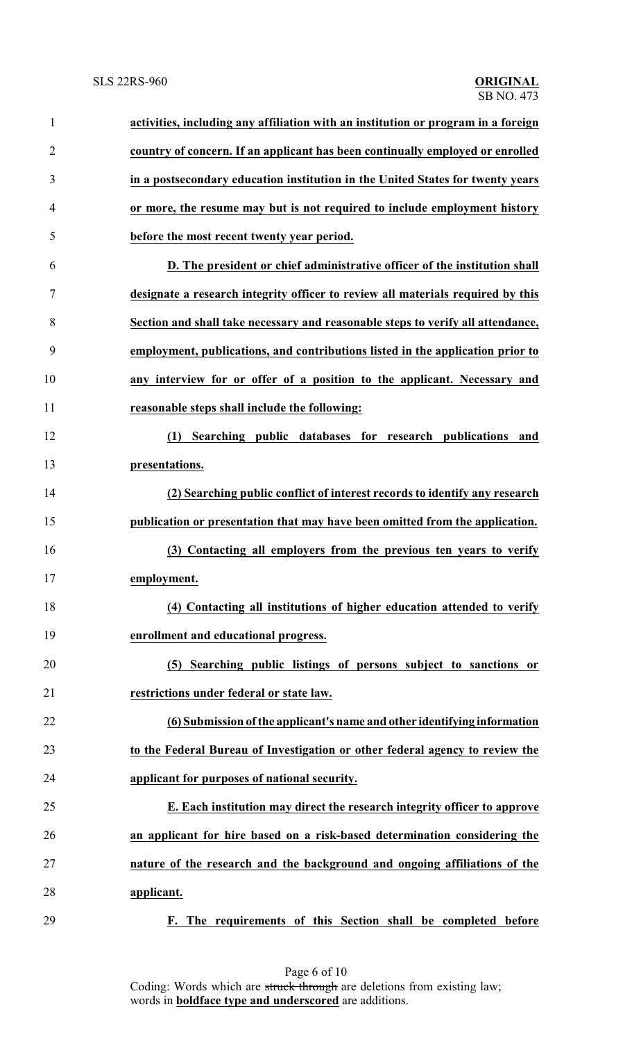| $\mathbf{1}$   | activities, including any affiliation with an institution or program in a foreign |
|----------------|-----------------------------------------------------------------------------------|
| $\overline{2}$ | country of concern. If an applicant has been continually employed or enrolled     |
| 3              | in a postsecondary education institution in the United States for twenty years    |
| 4              | or more, the resume may but is not required to include employment history         |
| 5              | before the most recent twenty year period.                                        |
| 6              | D. The president or chief administrative officer of the institution shall         |
| 7              | designate a research integrity officer to review all materials required by this   |
| 8              | Section and shall take necessary and reasonable steps to verify all attendance,   |
| 9              | employment, publications, and contributions listed in the application prior to    |
| 10             | any interview for or offer of a position to the applicant. Necessary and          |
| 11             | reasonable steps shall include the following:                                     |
| 12             | Searching public databases for research publications and<br>(1)                   |
| 13             | presentations.                                                                    |
| 14             | (2) Searching public conflict of interest records to identify any research        |
| 15             | publication or presentation that may have been omitted from the application.      |
| 16             | (3) Contacting all employers from the previous ten years to verify                |
| 17             | employment.                                                                       |
| 18             | (4) Contacting all institutions of higher education attended to verify            |
| 19             | enrollment and educational progress.                                              |
| 20             | (5) Searching public listings of persons subject to sanctions or                  |
| 21             | restrictions under federal or state law.                                          |
| 22             | (6) Submission of the applicant's name and other identifying information          |
| 23             | to the Federal Bureau of Investigation or other federal agency to review the      |
| 24             | applicant for purposes of national security.                                      |
| 25             | E. Each institution may direct the research integrity officer to approve          |
| 26             | an applicant for hire based on a risk-based determination considering the         |
| 27             | nature of the research and the background and ongoing affiliations of the         |
| 28             | applicant.                                                                        |
| 29             | F. The requirements of this Section shall be completed before                     |

Page 6 of 10 Coding: Words which are struck through are deletions from existing law; words in **boldface type and underscored** are additions.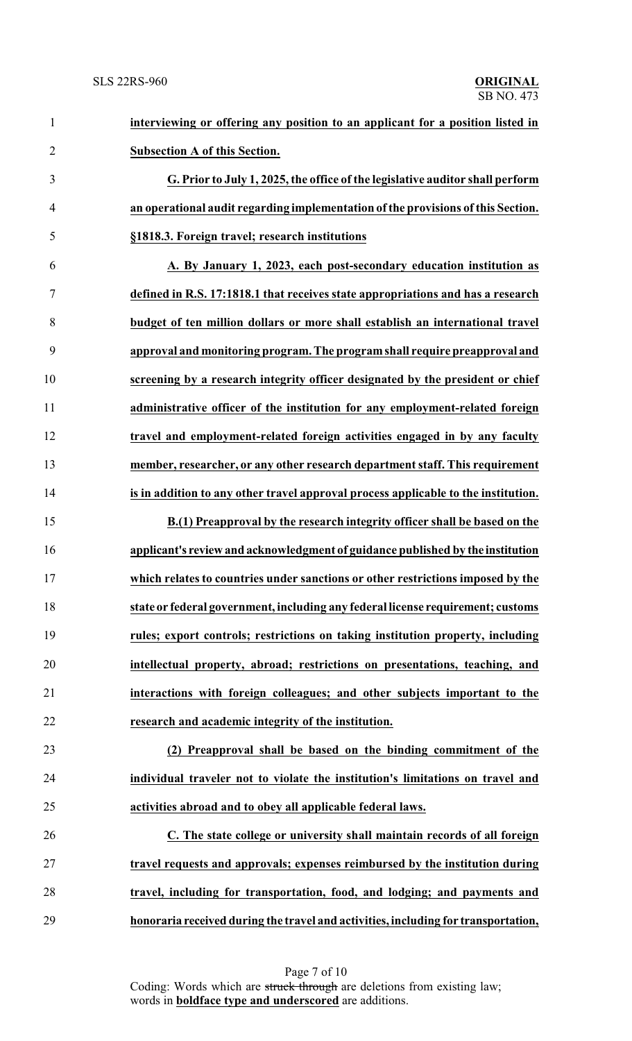| $\mathbf{1}$   | interviewing or offering any position to an applicant for a position listed in     |
|----------------|------------------------------------------------------------------------------------|
| $\overline{2}$ | <b>Subsection A of this Section.</b>                                               |
| 3              | G. Prior to July 1, 2025, the office of the legislative auditor shall perform      |
| $\overline{4}$ | an operational audit regarding implementation of the provisions of this Section.   |
| 5              | §1818.3. Foreign travel; research institutions                                     |
| 6              | A. By January 1, 2023, each post-secondary education institution as                |
| 7              | defined in R.S. 17:1818.1 that receives state appropriations and has a research    |
| 8              | budget of ten million dollars or more shall establish an international travel      |
| 9              | approval and monitoring program. The program shall require preapproval and         |
| 10             | screening by a research integrity officer designated by the president or chief     |
| 11             | administrative officer of the institution for any employment-related foreign       |
| 12             | travel and employment-related foreign activities engaged in by any faculty         |
| 13             | member, researcher, or any other research department staff. This requirement       |
| 14             | is in addition to any other travel approval process applicable to the institution. |
| 15             | B.(1) Preapproval by the research integrity officer shall be based on the          |
| 16             | applicant's review and acknowledgment of guidance published by the institution     |
| 17             | which relates to countries under sanctions or other restrictions imposed by the    |
| 18             | state or federal government, including any federal license requirement; customs    |
| 19             | rules; export controls; restrictions on taking institution property, including     |
| 20             | intellectual property, abroad; restrictions on presentations, teaching, and        |
| 21             | interactions with foreign colleagues; and other subjects important to the          |
| 22             | research and academic integrity of the institution.                                |
| 23             | (2) Preapproval shall be based on the binding commitment of the                    |
| 24             | individual traveler not to violate the institution's limitations on travel and     |
| 25             | activities abroad and to obey all applicable federal laws.                         |
| 26             | C. The state college or university shall maintain records of all foreign           |
| 27             | travel requests and approvals; expenses reimbursed by the institution during       |
| 28             | travel, including for transportation, food, and lodging; and payments and          |
| 29             | honoraria received during the travel and activities, including for transportation, |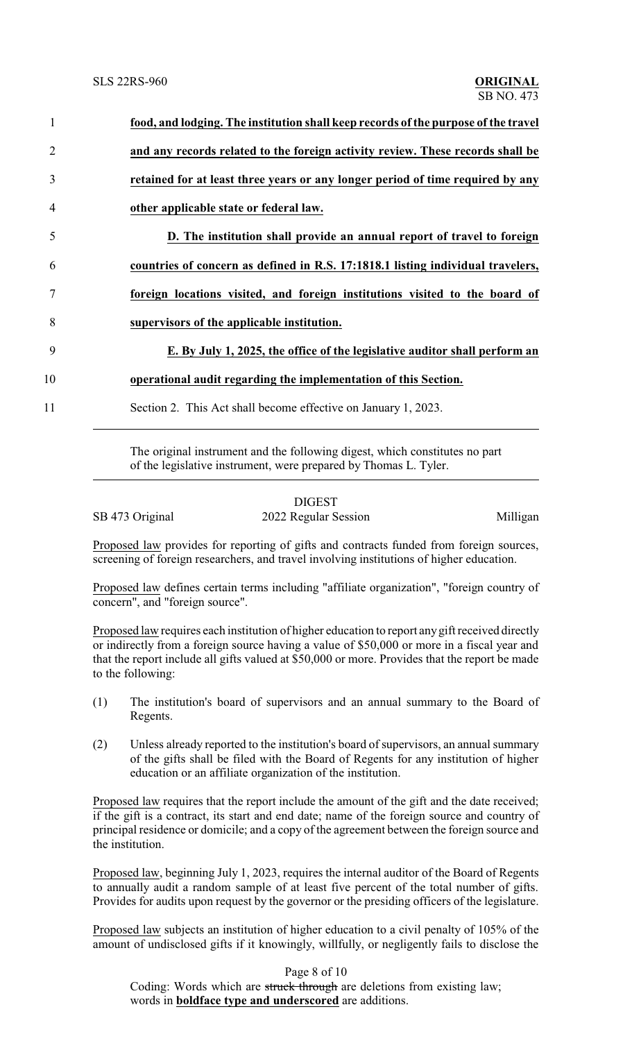| $\mathbf{1}$   | food, and lodging. The institution shall keep records of the purpose of the travel |
|----------------|------------------------------------------------------------------------------------|
| 2              | and any records related to the foreign activity review. These records shall be     |
| 3              | retained for at least three years or any longer period of time required by any     |
| $\overline{4}$ | other applicable state or federal law.                                             |
| 5              | D. The institution shall provide an annual report of travel to foreign             |
| 6              | countries of concern as defined in R.S. 17:1818.1 listing individual travelers,    |
|                | foreign locations visited, and foreign institutions visited to the board of        |
| 8              | supervisors of the applicable institution.                                         |
| 9              | E. By July 1, 2025, the office of the legislative auditor shall perform an         |
| 10             | operational audit regarding the implementation of this Section.                    |
| 11             | Section 2. This Act shall become effective on January 1, 2023.                     |
|                |                                                                                    |

The original instrument and the following digest, which constitutes no part of the legislative instrument, were prepared by Thomas L. Tyler.

|                 | <b>DIGEST</b>        |          |
|-----------------|----------------------|----------|
| SB 473 Original | 2022 Regular Session | Milligan |

Proposed law provides for reporting of gifts and contracts funded from foreign sources, screening of foreign researchers, and travel involving institutions of higher education.

Proposed law defines certain terms including "affiliate organization", "foreign country of concern", and "foreign source".

Proposed law requires each institution of higher education to report any gift received directly or indirectly from a foreign source having a value of \$50,000 or more in a fiscal year and that the report include all gifts valued at \$50,000 or more. Provides that the report be made to the following:

- (1) The institution's board of supervisors and an annual summary to the Board of Regents.
- (2) Unless already reported to the institution's board of supervisors, an annual summary of the gifts shall be filed with the Board of Regents for any institution of higher education or an affiliate organization of the institution.

Proposed law requires that the report include the amount of the gift and the date received; if the gift is a contract, its start and end date; name of the foreign source and country of principal residence or domicile; and a copy of the agreement between the foreign source and the institution.

Proposed law, beginning July 1, 2023, requires the internal auditor of the Board of Regents to annually audit a random sample of at least five percent of the total number of gifts. Provides for audits upon request by the governor or the presiding officers of the legislature.

Proposed law subjects an institution of higher education to a civil penalty of 105% of the amount of undisclosed gifts if it knowingly, willfully, or negligently fails to disclose the

Page 8 of 10

Coding: Words which are struck through are deletions from existing law; words in **boldface type and underscored** are additions.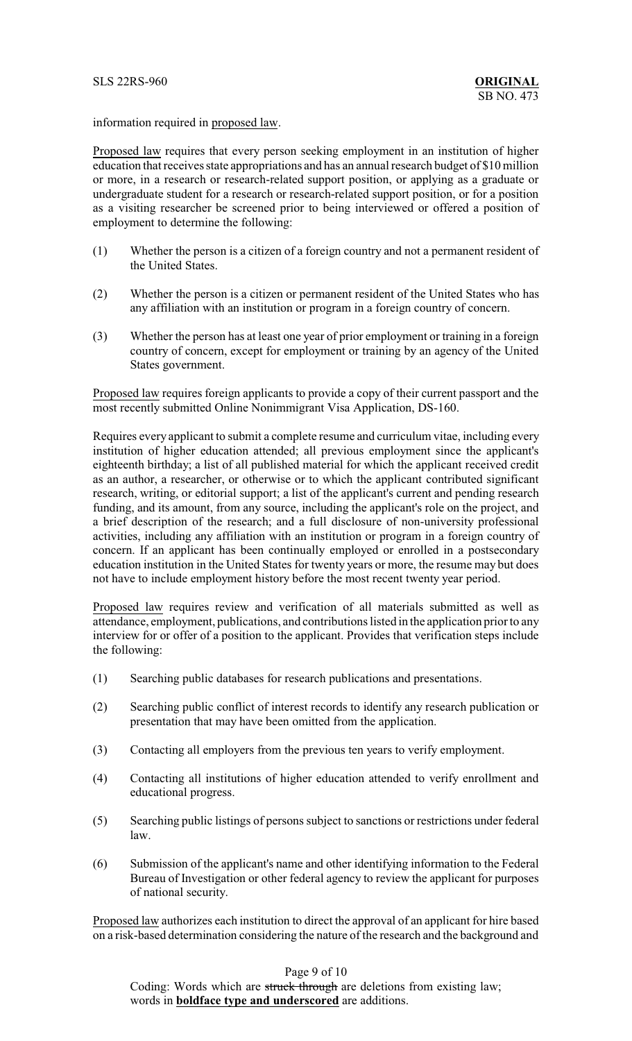information required in proposed law.

Proposed law requires that every person seeking employment in an institution of higher education that receives state appropriations and has an annual research budget of \$10 million or more, in a research or research-related support position, or applying as a graduate or undergraduate student for a research or research-related support position, or for a position as a visiting researcher be screened prior to being interviewed or offered a position of employment to determine the following:

- (1) Whether the person is a citizen of a foreign country and not a permanent resident of the United States.
- (2) Whether the person is a citizen or permanent resident of the United States who has any affiliation with an institution or program in a foreign country of concern.
- (3) Whether the person has at least one year of prior employment or training in a foreign country of concern, except for employment or training by an agency of the United States government.

Proposed law requires foreign applicants to provide a copy of their current passport and the most recently submitted Online Nonimmigrant Visa Application, DS-160.

Requires every applicant to submit a complete resume and curriculum vitae, including every institution of higher education attended; all previous employment since the applicant's eighteenth birthday; a list of all published material for which the applicant received credit as an author, a researcher, or otherwise or to which the applicant contributed significant research, writing, or editorial support; a list of the applicant's current and pending research funding, and its amount, from any source, including the applicant's role on the project, and a brief description of the research; and a full disclosure of non-university professional activities, including any affiliation with an institution or program in a foreign country of concern. If an applicant has been continually employed or enrolled in a postsecondary education institution in the United States for twenty years or more, the resume may but does not have to include employment history before the most recent twenty year period.

Proposed law requires review and verification of all materials submitted as well as attendance, employment, publications, and contributions listed in the application prior to any interview for or offer of a position to the applicant. Provides that verification steps include the following:

- (1) Searching public databases for research publications and presentations.
- (2) Searching public conflict of interest records to identify any research publication or presentation that may have been omitted from the application.
- (3) Contacting all employers from the previous ten years to verify employment.
- (4) Contacting all institutions of higher education attended to verify enrollment and educational progress.
- (5) Searching public listings of persons subject to sanctions or restrictions under federal law.
- (6) Submission of the applicant's name and other identifying information to the Federal Bureau of Investigation or other federal agency to review the applicant for purposes of national security.

Proposed law authorizes each institution to direct the approval of an applicant for hire based on a risk-based determination considering the nature of the research and the background and

## Page 9 of 10

Coding: Words which are struck through are deletions from existing law; words in **boldface type and underscored** are additions.